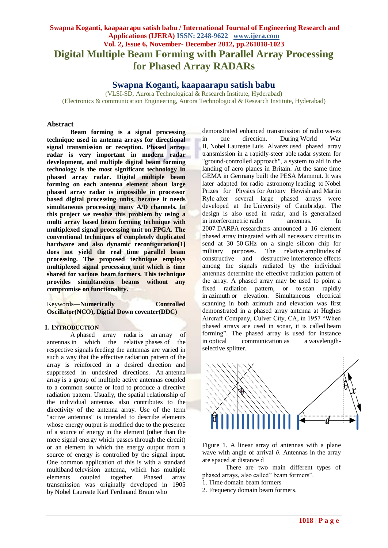# **Swapna Koganti, kaapaarapu satish babu / International Journal of Engineering Research and Applications (IJERA) ISSN: 2248-9622 www.ijera.com Vol. 2, Issue 6, November- December 2012, pp.261018-1023 Digital Multiple Beam Forming with Parallel Array Processing for Phased Array RADARs**

# **Swapna Koganti, kaapaarapu satish babu**

(VLSI-SD, Aurora Technological & Research Institute, Hyderabad) (Electronics & communication Engineering, Aurora Technological & Research Institute, Hyderabad)

### **Abstract**

**Beam forming is a signal processing technique used in antenna arrays for directional signal transmission or reception. Phased array radar is very important in modern radar development, and multiple digital beam forming technology is the most significant technology in phased array radar. Digital multiple beam forming on each antenna element about large phased array radar is impossible in processor based digital processing units, because it needs simultaneous processing many A/D channels. In this project we resolve this problem by using a multi array based beam forming technique with multiplexed signal processing unit on FPGA. The conventional techniques of completely duplicated hardware and also dynamic reconfiguration[1] does not yield the real time parallel beam processing. The proposed technique employs multiplexed signal processing unit which is time shared for various beam formers. This technique provides simultaneous beams without any compromise on functionality.**

| Keywords— <b>Numerically</b>                        | <b>Controlled</b> |
|-----------------------------------------------------|-------------------|
| <b>Oscillator</b> (NCO), Digtial Down coventer(DDC) |                   |

### **I. INTRODUCTION**

A phased array radar is an array of antennas in which the relative phases of the respective signals feeding the antennas are varied in such a way that the effective radiation pattern of the array is reinforced in a desired direction and suppressed in undesired directions. An antenna array is a group of multiple active antennas coupled to a common source or load to produce a directive radiation pattern. Usually, the spatial relationship of the individual antennas also contributes to the directivity of the antenna array. Use of the term "active antennas" is intended to describe elements whose energy output is modified due to the presence of a source of energy in the element (other than the mere signal energy which passes through the circuit) or an element in which the energy output from a source of energy is controlled by the signal input. One common application of this is with a standard multiband television antenna, which has multiple elements coupled together. Phased array transmission was originally developed in 1905 by Nobel Laureate Karl Ferdinand Braun who

demonstrated enhanced transmission of radio waves in one direction. During World War II, Nobel Laureate Luis Alvarez used phased array transmission in a rapidly-steer able radar system for "ground-controlled approach", a system to aid in the landing of aero planes in Britain. At the same time GEMA in Germany built the PESA Mammut. It was later adapted for radio astronomy leading to Nobel Prizes for Physics for Antony Hewish and Martin Ryle after several large phased arrays were developed at the University of Cambridge. The design is also used in radar, and is generalized in interferometric radio antennas. In 2007 DARPA researchers announced a 16 element phased array integrated with all necessary circuits to send at 30–50 GHz on a single silicon chip for military purposes. The relative amplitudes of constructive and destructive interference effects among the signals radiated by the individual antennas determine the effective radiation pattern of the array. A phased array may be used to point a fixed radiation pattern, or to scan rapidly in azimuth or elevation. Simultaneous electrical scanning in both azimuth and elevation was first demonstrated in a phased array antenna at Hughes Aircraft Company, Culver City, CA, in 1957 "When phased arrays are used in sonar, it is called beam forming". The phased array is used for instance in optical communication as a wavelengthselective splitter.



Figure 1. A linear array of antennas with a plane wave with angle of arrival *θ*. Antennas in the array are spaced at distance d

There are two main different types of phased arrays, also called" beam formers".

- 1. Time domain beam formers
- 2. Frequency domain beam formers.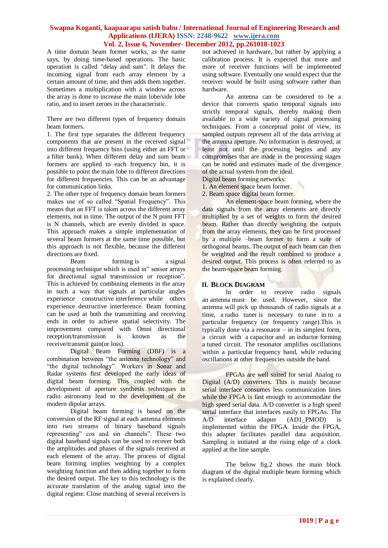A time domain beam former works, as the name says, by doing time-based operations. The basic operation is called "delay and sum". It delays the incoming signal from each array element by a certain amount of time, and then adds them together. Sometimes a multiplication with a window across the array is done to increase the main lobe/side lobe ratio, and to insert zeroes in the characteristic.

There are two different types of frequency domain beam formers.

1. The first type separates the different frequency components that are present in the received signal into different frequency bins (using either an FFT or a filter bank). When different delay and sum beam formers are applied to each frequency bin, it is possible to point the main lobe to different directions for different frequencies. This can be an advantage for communication links.

2. The other type of frequency domain beam formers makes use of so called "Spatial Frequency". This means that an FFT is taken across the different array elements, not in time. The output of the N point FFT is N channels, which are evenly divided in space. This approach makes a simple implementation of several beam formers at the same time possible, but this approach is not flexible, because the different directions are fixed.

Beam forming is a signal processing technique which is used in" sensor arrays for directional signal transmission or reception". This is achieved by combining elements in the array in such a way that signals at particular angles experience constructive interference while others experience destructive interference. Beam forming can be used at both the transmitting and receiving ends in order to achieve spatial selectivity. The improvement compared with Omni directional reception/transmission is known as the receive/transmit gain(or loss).

Digital Beam Forming (DBF) is a combination between "the antenna technology" and "the digital technology". Workers in Sonar and Radar systems first developed the early ideas of digital beam forming. This coupled with the development of aperture synthesis techniques in radio astronomy lead to the development of the modern dipolar arrays.

Digital beam forming is based on the conversion of the RF signal at each antenna elements into two streams of binary baseband signals representing" cos and sin channels". These two digital baseband signals can be used to recover both the amplitudes and phases of the signals received at each element of the array. The process of digital beam forming implies weighting by a complex weighting function and then adding together to form the desired output. The key to this technology is the accurate translation of the analog signal into the digital regime. Close matching of several receivers is

not achieved in hardware, but rather by applying a calibration process. It is expected that more and more of receiver functions will be implemented using software. Eventually one would expect that the receiver would be built using software rather than hardware.

An antenna can be considered to be a device that converts spatio temporal signals into strictly temporal signals, thereby making them available to a wide variety of signal processing techniques. From a conceptual point of view, its sampled outputs represent all of the data arriving at the antenna aperture. No information is destroyed, at least not until the processing begins and any compromises that are made in the processing stages can be noted and estimates made of the divergence of the actual system from the ideal.

Digital beam forming networks:

1. An element space beam former.

2. Beam space digital beam former.

An element-space beam forming, where the data signals from the array elements are directly multiplied by a set of weights to form the desired beam. Rather than directly weighting the outputs from the array elements, they can be first processed by a multiple –beam former to form a suite of orthogonal beams. The output of each beam can then be weighted and the result combined to produce a desired output. This process is often referred to as the beam-space beam forming.

# **II. BLOCK DIAGRAM**

In order to receive radio signals an antenna must be used. However, since the antenna will pick up thousands of radio signals at a time, a radio tuner is necessary to tune in to a particular frequency (or frequency range).This is typically done via a resonator – in its simplest form, a circuit with a capacitor and an inductor forming a tuned circuit. The resonator amplifies oscillations within a particular frequency band, while reducing oscillations at other frequencies outside the band.

FPGAs are well suited for serial Analog to Digital (A/D) converters. This is mainly because serial interface consumes less communication lines while the FPGA is fast enough to accommodate the high speed serial data. A/D converter is a high speed serial interface that interfaces easily to FPGAs. The A/D interface adapter (AD1\_PMOD) is implemented within the FPGA. Inside the FPGA, this adapter facilitates parallel data acquisition. Sampling is initiated at the rising edge of a clock applied at the line sample.

The below fig.2 shows the main block diagram of the digital multiple beam forming which is explained clearly.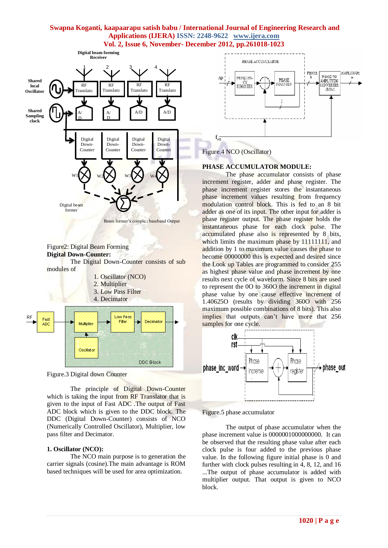

#### Figure2: Digital Beam Forming **Digital Down-Counter:**

The Digital Down-Counter consists of sub modules of





The principle of Digital Down-Counter which is taking the input from RF Translator that is given to the input of Fast ADC .The output of Fast ADC block which is given to the DDC block. The DDC (Digital Down-Counter) consists of NCO (Numerically Controlled Oscillator), Multiplier, low pass filter and Decimator.

# **1. Oscillator (NCO):**

The NCO main purpose is to generation the carrier signals (cosine).The main advantage is ROM based techniques will be used for area optimization.



Figure.4 NCO (Oscillator)

# **PHASE ACCUMULATOR MODULE:**

The phase accumulator consists of phase increment register, adder and phase register. The phase increment register stores the instantaneous phase increment values resulting from frequency modulation control block. This is fed to an 8 bit adder as one of its input. The other input for adder is phase register output. The phase register holds the instantaneous phase for each clock pulse. The accumulated phase also is represented by 8 bits, which limits the maximum phase by 11111111, and addition by 1 to maximum value causes the phase to become 00000000 this is expected and desired since the Look up Tables are programmed to consider 255 as highest phase value and phase increment by one results next cycle of waveform. Since 8 bits are used to represent the 0O to 360O the increment in digital phase value by one cause effective increment of 1.40625O (results by dividing 360O with 256 maximum possible combinations of 8 bits). This also implies that outputs can't have more that 256 samples for one cycle.



Figure.5 phase accumulator

The output of phase accumulator when the phase increment value is 0000001000000000. It can be observed that the resulting phase value after each clock pulse is four added to the previous phase value. In the following figure initial phase is 0 and further with clock pulses resulting in 4, 8, 12, and 16 ...The output of phase accumulator is added with multiplier output. That output is given to NCO block.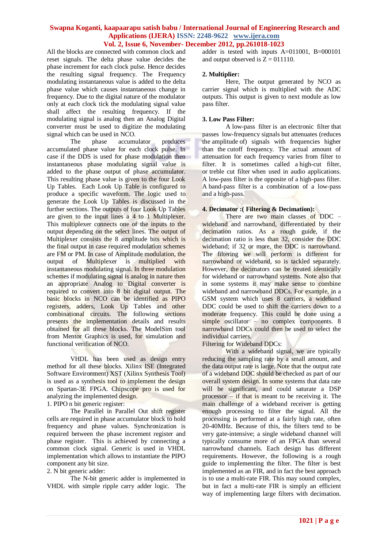All the blocks are connected with common clock and reset signals. The delta phase value decides the phase increment for each clock pulse. Hence decides the resulting signal frequency. The Frequency modulating instantaneous value is added to the delta phase value which causes instantaneous change in frequency. Due to the digital nature of the modulator only at each clock tick the modulating signal value shall affect the resulting frequency. If the modulating signal is analog then an Analog Digital converter must be used to digitize the modulating signal which can be used in NCO.

The phase accumulator produces accumulated phase value for each clock pulse. In case if the DDS is used for phase modulation then instantaneous phase modulating signal value is added to the phase output of phase accumulator. This resulting phase value is given to the four Look Up Tables. Each Look Up Table is configured to produce a specific waveform. The logic used to generate the Look Up Tables is discussed in the further sections. The outputs of four Look Up Tables are given to the input lines a 4 to 1 Multiplexer. This multiplexer connects one of the inputs to the output depending on the select lines. The output of Multiplexer consists the 8 amplitude bits which is the final output in case required modulation schemes are FM or PM. In case of Amplitude modulation, the output of Multiplexer is multiplied with instantaneous modulating signal. In three modulation schemes if modulating signal is analog in nature then an appropriate Analog to Digital converter is required to convert into 8 bit digital output. The basic blocks in NCO can be identified as PIPO registers, adders, Look Up Tables and other combinational circuits. The following sections presents the implementation details and results obtained for all these blocks. The ModelSim tool from Mentor Graphics is used, for simulation and functional verification of NCO.

VHDL has been used as design entry method for all these blocks. Xilinx ISE (Integrated Software Environment) XST (Xilinx Synthesis Tool) is used as a synthesis tool to implement the design on Spartan-3E FPGA. Chipscope pro is used for analyzing the implemented design.

1. PIPO n bit generic register:

The Parallel in Parallel Out shift register cells are required in phase accumulator block to hold frequency and phase values. Synchronization is required between the phase increment register and phase register. This is achieved by connecting a common clock signal. Generic is used in VHDL implementation which allows to instantiate the PIPO component any bit size.

2. N bit generic adder:

The N-bit generic adder is implemented in VHDL with simple ripple carry adder logic. The adder is tested with inputs A=011001, B=000101 and output observed is  $Z = 011110$ .

## **2. Multiplier:**

Here, The output generated by NCO as carrier signal which is multiplied with the ADC outputs. This output is given to next module as low pass filter.

## **3. Low Pass Filter:**

A low-pass filter is an electronic filter that passes low-frequency signals but attenuates (reduces the amplitude of) signals with frequencies higher than the cutoff frequency. The actual amount of attenuation for each frequency varies from filter to filter. It is sometimes called a high-cut filter, or treble cut filter when used in audio applications. A low-pass filter is the opposite of a high-pass filter. A band-pass filter is a combination of a low-pass and a high-pass.

# **4. Decimator :( Filtering & Decimation):**

There are two main classes of DDC – wideband and narrowband, differentiated by their decimation ratios. As a rough guide, if the decimation ratio is less than 32, consider the DDC wideband; if 32 or more, the DDC is narrowband. The filtering we will perform is different for narrowband or wideband, so is tackled separately. However, the decimators can be treated identically for wideband or narrowband systems. Note also that in some systems it may make sense to combine wideband and narrowband DDCs. For example, in a GSM system which uses 8 carriers, a wideband DDC could be used to shift the carriers down to a moderate frequency. This could be done using a simple oscillator – no complex components. 8 narrowband DDCs could then be used to select the individual carriers.

Filtering for Wideband DDCs:

With a wideband signal, we are typically reducing the sampling rate by a small amount, and the data output rate is large. Note that the output rate of a wideband DDC should be checked as part of our overall system design. In some systems that data rate will be significant, and could saturate a DSP processor – if that is meant to be receiving it. The main challenge of a wideband receiver is getting enough processing to filter the signal. All the processing is performed at a fairly high rate, often 20-40MHz. Because of this, the filters tend to be very gate-intensive; a single wideband channel will typically consume more of an FPGA than several narrowband channels. Each design has different requirements. However, the following is a rough guide to implementing the filter. The filter is best implemented as an FIR, and in fact the best approach is to use a multi-rate FIR. This may sound complex, but in fact a multi-rate FIR is simply an efficient way of implementing large filters with decimation.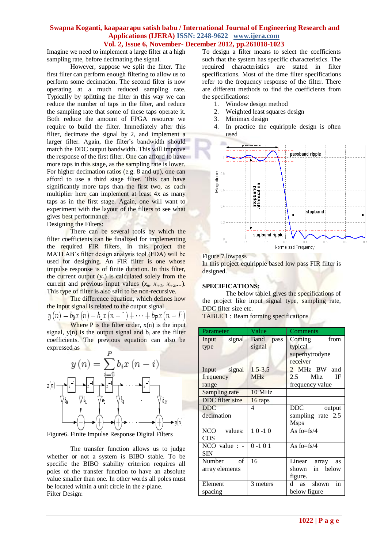Imagine we need to implement a large filter at a high sampling rate, before decimating the signal.

However, suppose we split the filter. The first filter can perform enough filtering to allow us to perform some decimation. The second filter is now operating at a much reduced sampling rate. Typically by splitting the filter in this way we can reduce the number of taps in the filter, and reduce the sampling rate that some of these taps operate it. Both reduce the amount of FPGA resource we require to build the filter. Immediately after this filter, decimate the signal by 2, and implement a larger filter. Again, the filter's bandwidth should match the DDC output bandwidth. This will improve the response of the first filter. One can afford to have more taps in this stage, as the sampling rate is lower. For higher decimation ratios (e.g. 8 and up), one can afford to use a third stage filter. This can have significantly more taps than the first two, as each multiplier here can implement at least 4x as many taps as in the first stage. Again, one will want to experiment with the layout of the filters to see what gives best performance. Designing the Filters:

There can be several tools by which the filter coefficients can be finalized for implementing the required FIR filters. In this project the MATLAB's filter design analysis tool (FDA) will be used for designing. An FIR filter is one whose impulse response is of finite duration. In this filter, the current output  $(y_n)$  is calculated solely from the current and previous input values  $(x_n, x_{n-1}, x_{n-2},...).$ This type of filter is also said to be non-recursive.

The difference equation, which defines how the input signal is related to the output signal<br> $u(n) = b_0 r(n) \perp b_1 r(n-1) \perp ... \perp b_n r(n)$ 

$$
y(n) = o_0 x(n) + o_1 x(n-1) + \cdots + o_p x(n-r)
$$
  
Where P is the filter order, x(n) is the input

signal,  $y(n)$  is the output signal and  $b_i$  are the filter coefficients. The previous equation can also be expressed as



Figure6. Finite Impulse Response Digital Filters

The transfer function allows us to judge whether or not a system is BIBO stable. To be specific the BIBO stability criterion requires all poles of the transfer function to have an absolute value smaller than one. In other words all poles must be located within a unit circle in the *z*-plane. Filter Design:

To design a filter means to select the coefficients such that the system has specific characteristics. The required characteristics are stated in filter specifications. Most of the time filter specifications refer to the frequency response of the filter. There are different methods to find the coefficients from the specifications:

- 1. Window design method
- 2. Weighted least squares design
- 3. Minimax design
- 4. In practice the equiripple design is often used



#### Figure 7.lowpass

In this project equiripple based low pass FIR filter is designed.

#### **SPECIFICATIONS:**

The below table1 gives the specifications of the project like input signal type, sampling rate, DDC filter size etc.

TABLE 1 : Beam forming specifications

| Parameter             | Value       | Comments            |
|-----------------------|-------------|---------------------|
| signal<br>Input       | Band pass   | from<br>Coming      |
| type                  | signal      | typical             |
|                       |             | superhytrodyne      |
|                       |             | receiver            |
| Input signal          | $1.5 - 3.5$ | 2 MHz BW and        |
| frequency             | <b>MHz</b>  | Mhz<br>IF<br>2.5    |
| range                 |             | frequency value     |
| Sampling rate         | 10 MHz      |                     |
| DDC filter size       | 16 taps     |                     |
| <b>DDC</b>            | 4           | DDC<br>output       |
| decimation            |             | sampling rate 2.5   |
|                       |             | <b>Msps</b>         |
| NCO values:           | $10 - 10$   | As fo= $fs/4$       |
| COS                   |             |                     |
| NCO value $: - \vert$ | $0 - 101$   | As fo= $fs/4$       |
| <b>SIN</b>            |             |                     |
| Number<br>of          | 16          | Linear array<br>as  |
| array elements        |             | in below<br>shown   |
|                       |             | figure.             |
| Element               | 3 meters    | in<br>shown<br>d as |
| spacing               |             | below figure        |